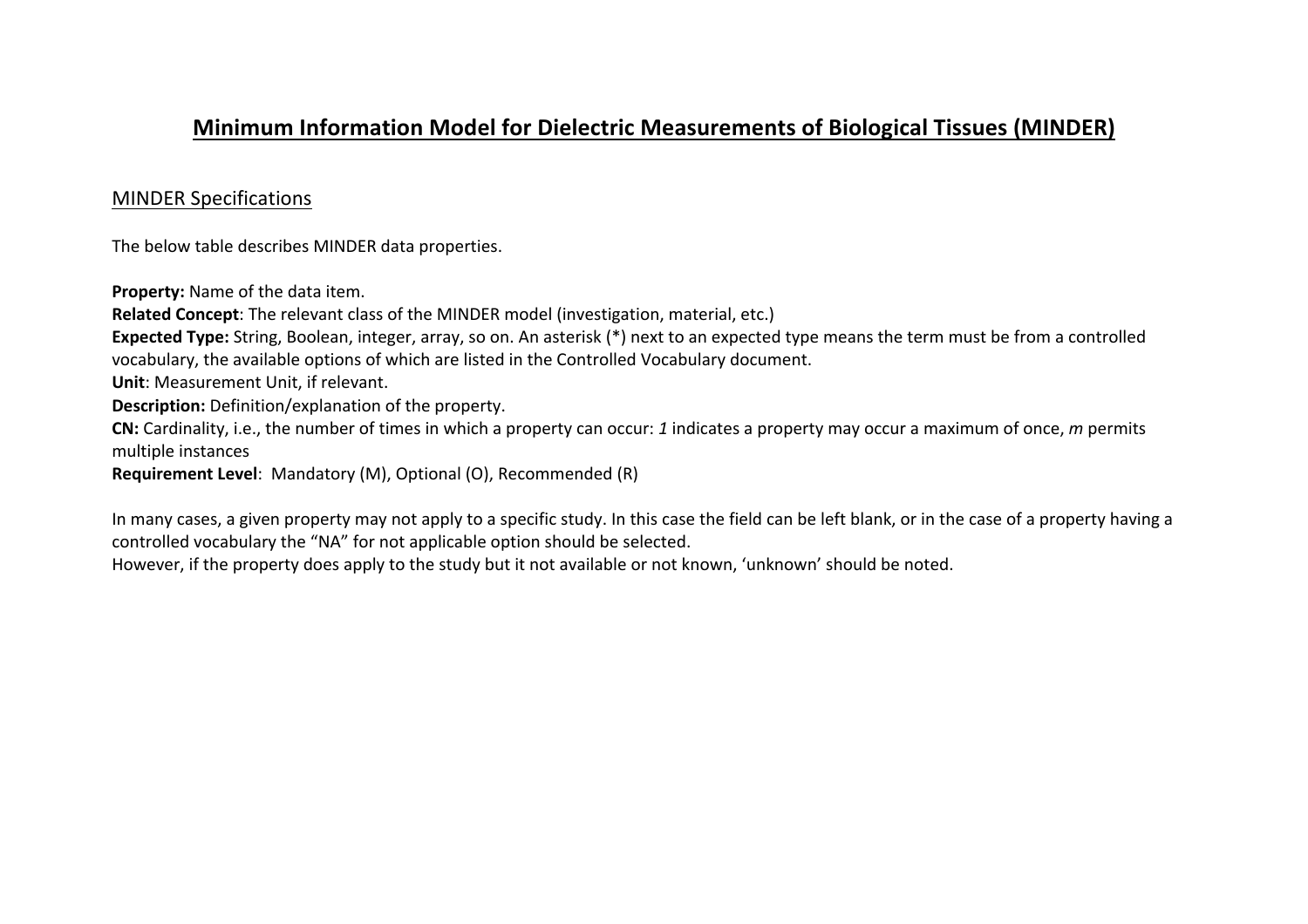## **Minimum Information Model for Dielectric Measurements of Biological Tissues (MINDER)**

## MINDER Specifications

The below table describes MINDER data properties.

**Property:** Name of the data item.

**Related Concept:** The relevant class of the MINDER model (investigation, material, etc.)

**Expected Type:** String, Boolean, integer, array, so on. An asterisk (\*) next to an expected type means the term must be from a controlled vocabulary, the available options of which are listed in the Controlled Vocabulary document.

**Unit:** Measurement Unit, if relevant.

**Description:** Definition/explanation of the property.

**CN:** Cardinality, i.e., the number of times in which a property can occur: 1 indicates a property may occur a maximum of once, m permits multiple instances

**Requirement Level:** Mandatory (M), Optional (O), Recommended (R)

In many cases, a given property may not apply to a specific study. In this case the field can be left blank, or in the case of a property having a controlled vocabulary the "NA" for not applicable option should be selected.

However, if the property does apply to the study but it not available or not known, 'unknown' should be noted.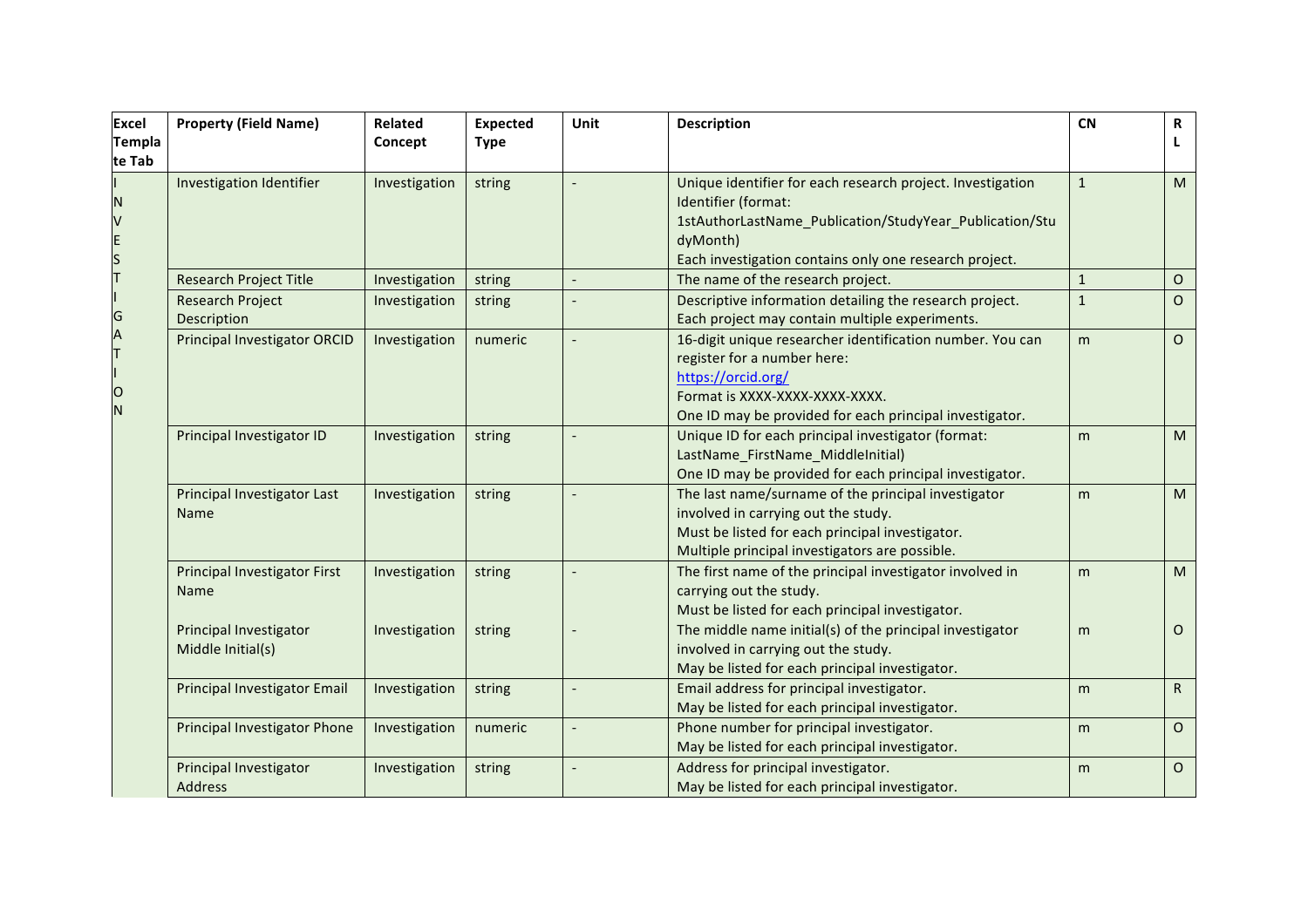| <b>Excel</b>                              | <b>Property (Field Name)</b>                       | <b>Related</b> | <b>Expected</b> | Unit | <b>Description</b>                                                                              | <b>CN</b>    | R            |
|-------------------------------------------|----------------------------------------------------|----------------|-----------------|------|-------------------------------------------------------------------------------------------------|--------------|--------------|
| <b>Templa</b>                             |                                                    | Concept        | <b>Type</b>     |      |                                                                                                 |              | L            |
| te Tab                                    |                                                    |                |                 |      |                                                                                                 |              |              |
|                                           | Investigation Identifier                           | Investigation  | string          |      | Unique identifier for each research project. Investigation                                      | $\mathbf{1}$ | M            |
| N                                         |                                                    |                |                 |      | Identifier (format:                                                                             |              |              |
|                                           |                                                    |                |                 |      | 1stAuthorLastName_Publication/StudyYear_Publication/Stu                                         |              |              |
|                                           |                                                    |                |                 |      | dyMonth)                                                                                        |              |              |
| V<br>E<br>S<br>T<br>I<br>G<br>A<br>T<br>I |                                                    |                |                 |      | Each investigation contains only one research project.                                          |              |              |
|                                           | <b>Research Project Title</b>                      | Investigation  | string          |      | The name of the research project.                                                               | $\mathbf{1}$ | 0            |
|                                           | <b>Research Project</b>                            | Investigation  | string          |      | Descriptive information detailing the research project.                                         | $\mathbf{1}$ | $\circ$      |
|                                           | Description                                        |                |                 |      | Each project may contain multiple experiments.                                                  |              |              |
|                                           | <b>Principal Investigator ORCID</b>                | Investigation  | numeric         |      | 16-digit unique researcher identification number. You can                                       | m            | $\circ$      |
|                                           |                                                    |                |                 |      | register for a number here:                                                                     |              |              |
|                                           |                                                    |                |                 |      | https://orcid.org/                                                                              |              |              |
| $\circ$<br>N                              |                                                    |                |                 |      | Format is XXXX-XXXX-XXXX-XXXX.                                                                  |              |              |
|                                           |                                                    |                |                 |      | One ID may be provided for each principal investigator.                                         |              |              |
|                                           | Principal Investigator ID                          | Investigation  | string          |      | Unique ID for each principal investigator (format:                                              | m            | M            |
|                                           |                                                    |                |                 |      | LastName_FirstName_MiddleInitial)                                                               |              |              |
|                                           |                                                    |                |                 |      | One ID may be provided for each principal investigator.                                         |              |              |
|                                           | Principal Investigator Last                        | Investigation  | string          |      | The last name/surname of the principal investigator                                             | m            | M            |
|                                           | Name                                               |                |                 |      | involved in carrying out the study.                                                             |              |              |
|                                           |                                                    |                |                 |      | Must be listed for each principal investigator.                                                 |              |              |
|                                           |                                                    |                |                 |      | Multiple principal investigators are possible.                                                  |              |              |
|                                           | <b>Principal Investigator First</b>                | Investigation  | string          |      | The first name of the principal investigator involved in                                        | m            | M            |
|                                           | Name                                               |                |                 |      | carrying out the study.                                                                         |              |              |
|                                           |                                                    |                |                 |      | Must be listed for each principal investigator.                                                 |              |              |
|                                           | <b>Principal Investigator</b><br>Middle Initial(s) | Investigation  | string          |      | The middle name initial(s) of the principal investigator<br>involved in carrying out the study. | m            | $\circ$      |
|                                           |                                                    |                |                 |      | May be listed for each principal investigator.                                                  |              |              |
|                                           | <b>Principal Investigator Email</b>                | Investigation  | string          |      | Email address for principal investigator.                                                       | m            | $\mathsf{R}$ |
|                                           |                                                    |                |                 |      | May be listed for each principal investigator.                                                  |              |              |
|                                           |                                                    | Investigation  | numeric         |      | Phone number for principal investigator.                                                        |              | $\circ$      |
|                                           | Principal Investigator Phone                       |                |                 |      | May be listed for each principal investigator.                                                  | m            |              |
|                                           | Principal Investigator                             | Investigation  |                 |      | Address for principal investigator.                                                             | m            | $\circ$      |
|                                           | <b>Address</b>                                     |                | string          |      | May be listed for each principal investigator.                                                  |              |              |
|                                           |                                                    |                |                 |      |                                                                                                 |              |              |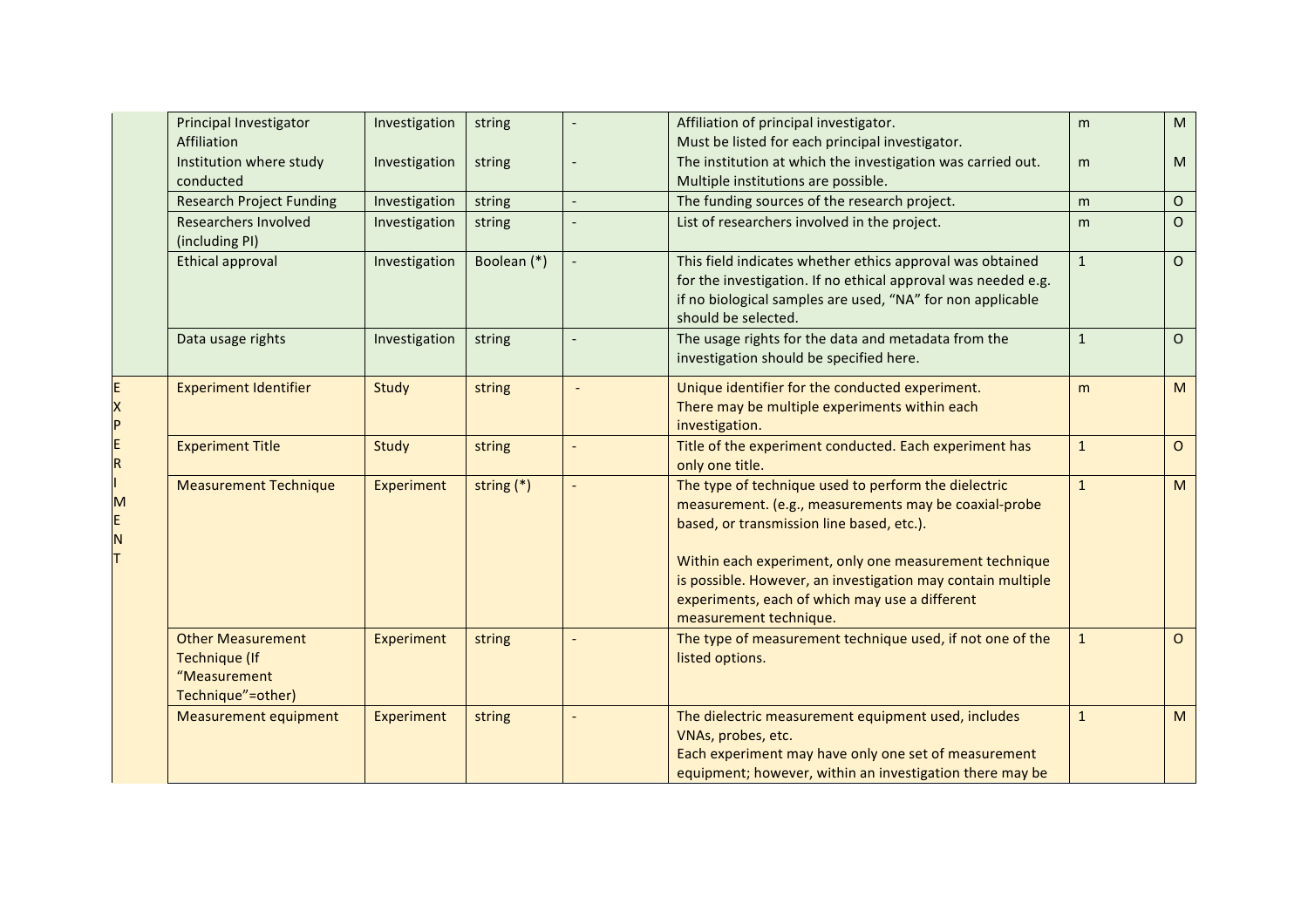|                | Principal Investigator<br>Affiliation                                                 | Investigation | string       | Affiliation of principal investigator.<br>Must be listed for each principal investigator.                                                                                                                                                                                                                                                                       | m            | M              |
|----------------|---------------------------------------------------------------------------------------|---------------|--------------|-----------------------------------------------------------------------------------------------------------------------------------------------------------------------------------------------------------------------------------------------------------------------------------------------------------------------------------------------------------------|--------------|----------------|
|                | Institution where study<br>conducted                                                  | Investigation | string       | The institution at which the investigation was carried out.<br>Multiple institutions are possible.                                                                                                                                                                                                                                                              | m            | M              |
|                | <b>Research Project Funding</b>                                                       | Investigation | string       | The funding sources of the research project.                                                                                                                                                                                                                                                                                                                    | m            | $\mathsf O$    |
| X<br>$\vert$ P | Researchers Involved<br>(including PI)                                                | Investigation | string       | List of researchers involved in the project.                                                                                                                                                                                                                                                                                                                    | m            | $\circ$        |
|                | <b>Ethical approval</b>                                                               | Investigation | Boolean (*)  | This field indicates whether ethics approval was obtained<br>for the investigation. If no ethical approval was needed e.g.<br>if no biological samples are used, "NA" for non applicable<br>should be selected.                                                                                                                                                 | $\mathbf{1}$ | $\Omega$       |
|                | Data usage rights                                                                     | Investigation | string       | The usage rights for the data and metadata from the<br>investigation should be specified here.                                                                                                                                                                                                                                                                  | $\mathbf{1}$ | $\circ$        |
|                | <b>Experiment Identifier</b>                                                          | Study         | string       | Unique identifier for the conducted experiment.<br>There may be multiple experiments within each<br>investigation.                                                                                                                                                                                                                                              | m            | M              |
| E<br>R         | <b>Experiment Title</b>                                                               | Study         | string       | Title of the experiment conducted. Each experiment has<br>only one title.                                                                                                                                                                                                                                                                                       | $\mathbf{1}$ | $\overline{O}$ |
| м              | <b>Measurement Technique</b>                                                          | Experiment    | string $(*)$ | The type of technique used to perform the dielectric<br>measurement. (e.g., measurements may be coaxial-probe<br>based, or transmission line based, etc.).<br>Within each experiment, only one measurement technique<br>is possible. However, an investigation may contain multiple<br>experiments, each of which may use a different<br>measurement technique. | $\mathbf{1}$ | M              |
|                | <b>Other Measurement</b><br><b>Technique (If</b><br>"Measurement<br>Technique"=other) | Experiment    | string       | The type of measurement technique used, if not one of the<br>listed options.                                                                                                                                                                                                                                                                                    | $\mathbf{1}$ | $\circ$        |
|                | <b>Measurement equipment</b>                                                          | Experiment    | string       | The dielectric measurement equipment used, includes<br>VNAs, probes, etc.<br>Each experiment may have only one set of measurement<br>equipment; however, within an investigation there may be                                                                                                                                                                   | $\mathbf{1}$ | M              |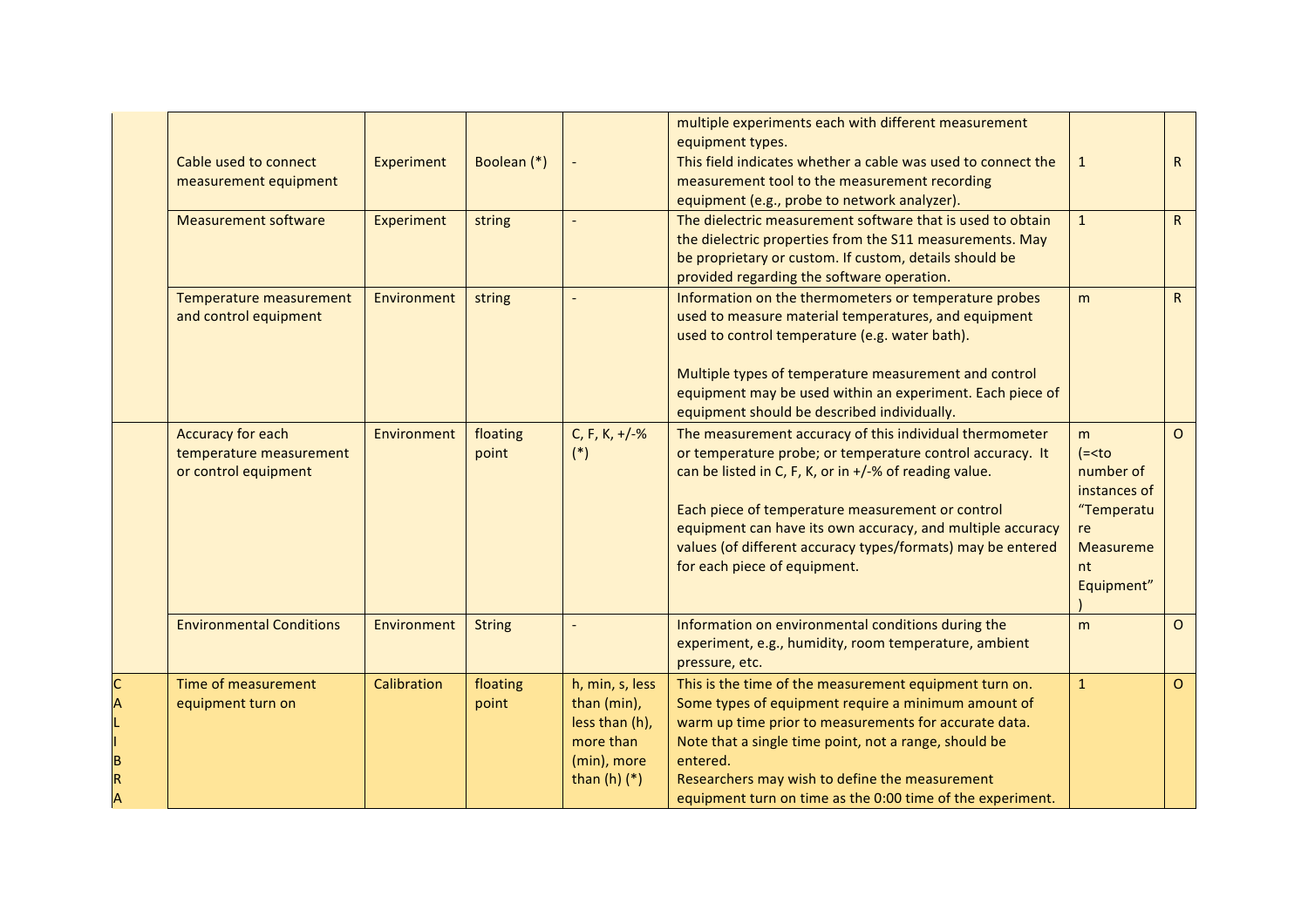|        |                                                                      |             |                   |                                                                                                  | multiple experiments each with different measurement<br>equipment types.                                                                                                                                                                                                                                                                                                                        |                                                                 |                |
|--------|----------------------------------------------------------------------|-------------|-------------------|--------------------------------------------------------------------------------------------------|-------------------------------------------------------------------------------------------------------------------------------------------------------------------------------------------------------------------------------------------------------------------------------------------------------------------------------------------------------------------------------------------------|-----------------------------------------------------------------|----------------|
|        | Cable used to connect<br>measurement equipment                       | Experiment  | Boolean (*)       |                                                                                                  | This field indicates whether a cable was used to connect the<br>measurement tool to the measurement recording<br>equipment (e.g., probe to network analyzer).                                                                                                                                                                                                                                   | $\mathbf{1}$                                                    | R              |
|        | <b>Measurement software</b>                                          | Experiment  | string            | $\overline{a}$                                                                                   | The dielectric measurement software that is used to obtain<br>the dielectric properties from the S11 measurements. May<br>be proprietary or custom. If custom, details should be<br>provided regarding the software operation.                                                                                                                                                                  | $\mathbf{1}$                                                    | R              |
|        | Temperature measurement<br>and control equipment                     | Environment | string            |                                                                                                  | Information on the thermometers or temperature probes<br>used to measure material temperatures, and equipment<br>used to control temperature (e.g. water bath).<br>Multiple types of temperature measurement and control<br>equipment may be used within an experiment. Each piece of<br>equipment should be described individually.                                                            | m                                                               | R              |
|        | Accuracy for each<br>temperature measurement<br>or control equipment | Environment | floating<br>point | C, F, K, $+/-%$<br>$(*)$                                                                         | The measurement accuracy of this individual thermometer<br>or temperature probe; or temperature control accuracy. It<br>can be listed in C, F, K, or in +/-% of reading value.<br>Each piece of temperature measurement or control<br>equipment can have its own accuracy, and multiple accuracy<br>values (of different accuracy types/formats) may be entered<br>for each piece of equipment. | m<br>$(=number ofinstances of"TemperatureMeasurementEquipment"$ | $\Omega$       |
|        | <b>Environmental Conditions</b>                                      | Environment | <b>String</b>     |                                                                                                  | Information on environmental conditions during the<br>experiment, e.g., humidity, room temperature, ambient<br>pressure, etc.                                                                                                                                                                                                                                                                   | m                                                               | $\circ$        |
| C<br>А | Time of measurement<br>equipment turn on                             | Calibration | floating<br>point | h, min, s, less<br>than (min),<br>less than (h),<br>more than<br>(min), more<br>than $(h)$ $(*)$ | This is the time of the measurement equipment turn on.<br>Some types of equipment require a minimum amount of<br>warm up time prior to measurements for accurate data.<br>Note that a single time point, not a range, should be<br>entered.<br>Researchers may wish to define the measurement<br>equipment turn on time as the 0:00 time of the experiment.                                     | $\mathbf{1}$                                                    | $\overline{O}$ |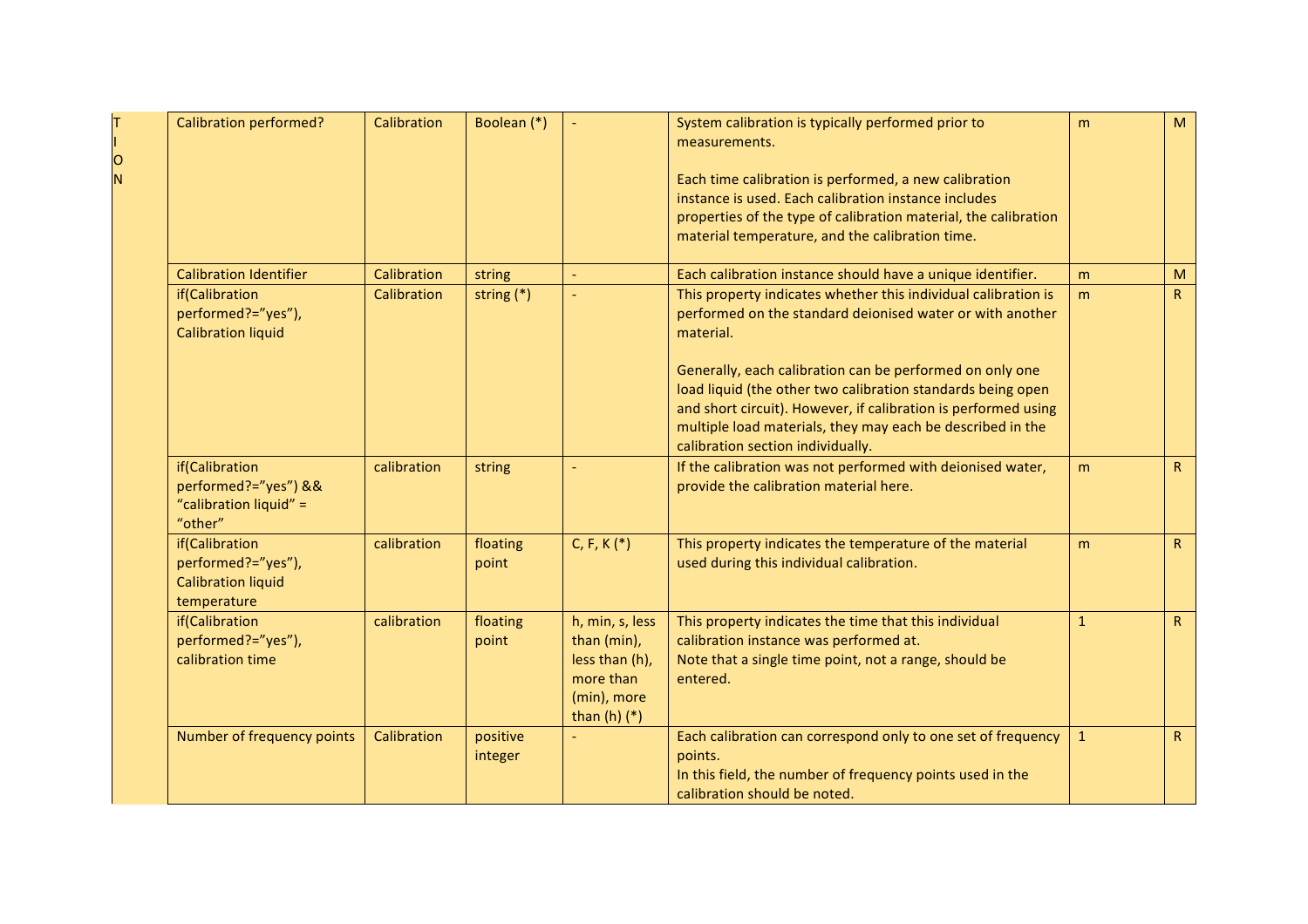| O<br>N | <b>Calibration performed?</b>                                                    | Calibration | Boolean (*)         |                                                                                                  | System calibration is typically performed prior to<br>measurements.<br>Each time calibration is performed, a new calibration<br>instance is used. Each calibration instance includes<br>properties of the type of calibration material, the calibration<br>material temperature, and the calibration time. | m            | M               |
|--------|----------------------------------------------------------------------------------|-------------|---------------------|--------------------------------------------------------------------------------------------------|------------------------------------------------------------------------------------------------------------------------------------------------------------------------------------------------------------------------------------------------------------------------------------------------------------|--------------|-----------------|
|        | <b>Calibration Identifier</b>                                                    | Calibration | string              | $\overline{\phantom{a}}$                                                                         | Each calibration instance should have a unique identifier.                                                                                                                                                                                                                                                 | m            | M               |
|        | if(Calibration<br>performed?="yes"),<br><b>Calibration liquid</b>                | Calibration | string $(*)$        |                                                                                                  | This property indicates whether this individual calibration is<br>performed on the standard deionised water or with another<br>material.<br>Generally, each calibration can be performed on only one<br>load liquid (the other two calibration standards being open                                        | m            | R               |
|        |                                                                                  |             |                     |                                                                                                  | and short circuit). However, if calibration is performed using<br>multiple load materials, they may each be described in the<br>calibration section individually.                                                                                                                                          |              |                 |
|        | if(Calibration<br>performed?="yes") &&<br>"calibration liquid" =<br>"other"      | calibration | string              |                                                                                                  | If the calibration was not performed with deionised water,<br>provide the calibration material here.                                                                                                                                                                                                       | m            | $R_{\parallel}$ |
|        | if(Calibration<br>performed?="yes"),<br><b>Calibration liquid</b><br>temperature | calibration | floating<br>point   | C, F, K $(*)$                                                                                    | This property indicates the temperature of the material<br>used during this individual calibration.                                                                                                                                                                                                        | m            | $R_{\parallel}$ |
|        | if(Calibration<br>performed?="yes"),<br>calibration time                         | calibration | floating<br>point   | h, min, s, less<br>than (min),<br>less than (h),<br>more than<br>(min), more<br>than $(h)$ $(*)$ | This property indicates the time that this individual<br>calibration instance was performed at.<br>Note that a single time point, not a range, should be<br>entered.                                                                                                                                       | $\mathbf{1}$ | R               |
|        | Number of frequency points                                                       | Calibration | positive<br>integer |                                                                                                  | Each calibration can correspond only to one set of frequency<br>points.<br>In this field, the number of frequency points used in the<br>calibration should be noted.                                                                                                                                       | $\mathbf{1}$ | R               |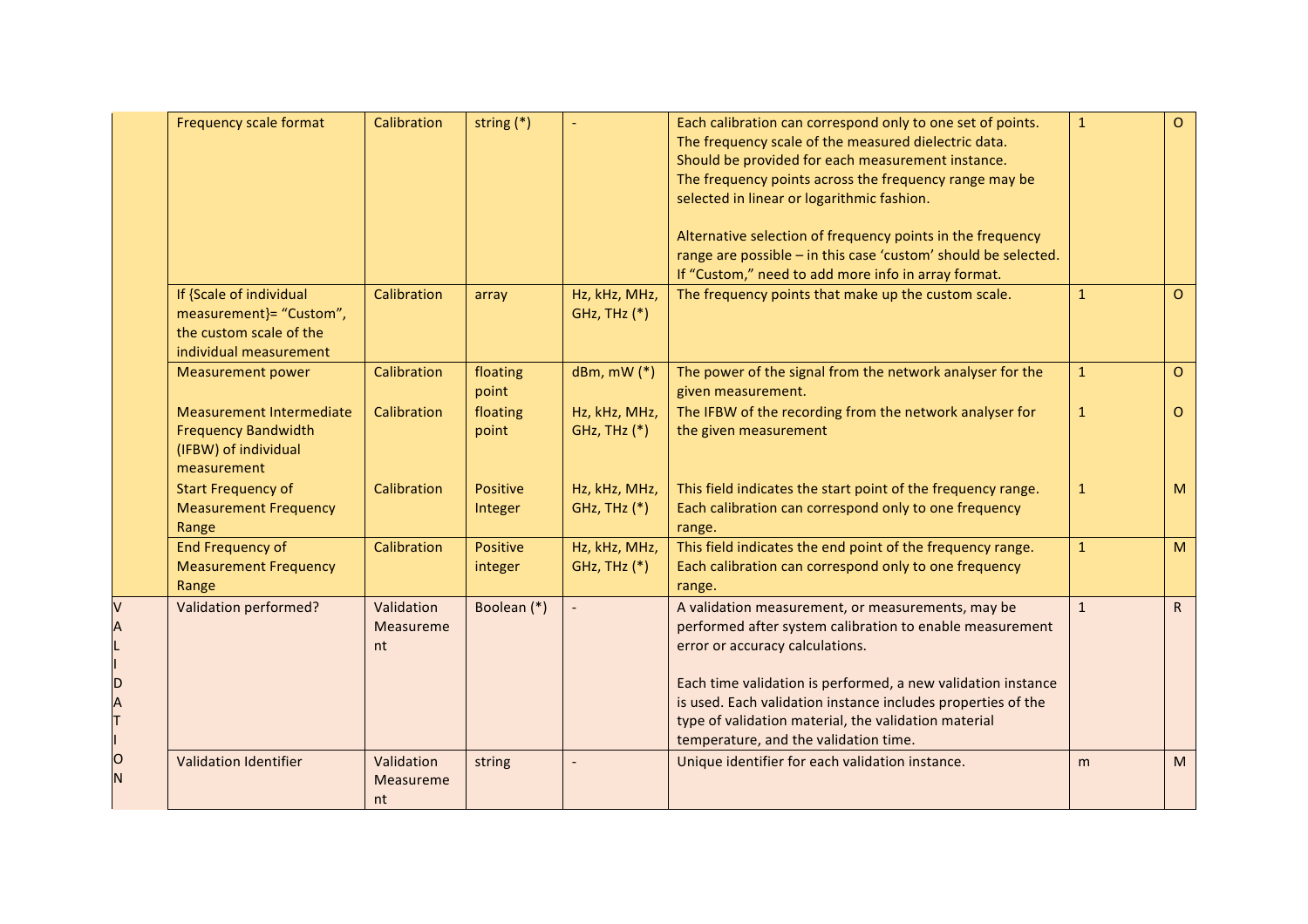|        | <b>Frequency scale format</b>                                                                           | Calibration                          | string $(*)$        | $\overline{\phantom{a}}$      | Each calibration can correspond only to one set of points.<br>The frequency scale of the measured dielectric data.<br>Should be provided for each measurement instance.<br>The frequency points across the frequency range may be<br>selected in linear or logarithmic fashion.<br>Alternative selection of frequency points in the frequency<br>range are possible - in this case 'custom' should be selected.<br>If "Custom," need to add more info in array format. | $\mathbf{1}$ | $\circ$      |
|--------|---------------------------------------------------------------------------------------------------------|--------------------------------------|---------------------|-------------------------------|------------------------------------------------------------------------------------------------------------------------------------------------------------------------------------------------------------------------------------------------------------------------------------------------------------------------------------------------------------------------------------------------------------------------------------------------------------------------|--------------|--------------|
|        | If {Scale of individual<br>measurement}= "Custom",<br>the custom scale of the<br>individual measurement | Calibration                          | array               | Hz, kHz, MHz,<br>GHz, THz (*) | The frequency points that make up the custom scale.                                                                                                                                                                                                                                                                                                                                                                                                                    | $\mathbf{1}$ | $\Omega$     |
|        | <b>Measurement power</b>                                                                                | Calibration                          | floating<br>point   | $dBm, mW$ $(*)$               | The power of the signal from the network analyser for the<br>given measurement.                                                                                                                                                                                                                                                                                                                                                                                        | $\mathbf{1}$ | $\circ$      |
|        | <b>Measurement Intermediate</b><br><b>Frequency Bandwidth</b><br>(IFBW) of individual<br>measurement    | Calibration                          | floating<br>point   | Hz, kHz, MHz,<br>GHz, THz (*) | The IFBW of the recording from the network analyser for<br>the given measurement                                                                                                                                                                                                                                                                                                                                                                                       | $\mathbf{1}$ | $\Omega$     |
|        | <b>Start Frequency of</b><br><b>Measurement Frequency</b><br>Range                                      | Calibration                          | Positive<br>Integer | Hz, kHz, MHz,<br>GHz, THz (*) | This field indicates the start point of the frequency range.<br>Each calibration can correspond only to one frequency<br>range.                                                                                                                                                                                                                                                                                                                                        | $\mathbf{1}$ | M            |
|        | <b>End Frequency of</b><br><b>Measurement Frequency</b><br>Range                                        | Calibration                          | Positive<br>integer | Hz, kHz, MHz,<br>GHz, THz (*) | This field indicates the end point of the frequency range.<br>Each calibration can correspond only to one frequency<br>range.                                                                                                                                                                                                                                                                                                                                          | $\mathbf{1}$ | M            |
| D      | <b>Validation performed?</b>                                                                            | Validation<br><b>Measureme</b><br>nt | Boolean (*)         |                               | A validation measurement, or measurements, may be<br>performed after system calibration to enable measurement<br>error or accuracy calculations.<br>Each time validation is performed, a new validation instance<br>is used. Each validation instance includes properties of the<br>type of validation material, the validation material<br>temperature, and the validation time.                                                                                      | $\mathbf{1}$ | $\mathsf{R}$ |
| 0<br>N | <b>Validation Identifier</b>                                                                            | Validation<br>Measureme<br>nt        | string              |                               | Unique identifier for each validation instance.                                                                                                                                                                                                                                                                                                                                                                                                                        | m            | M            |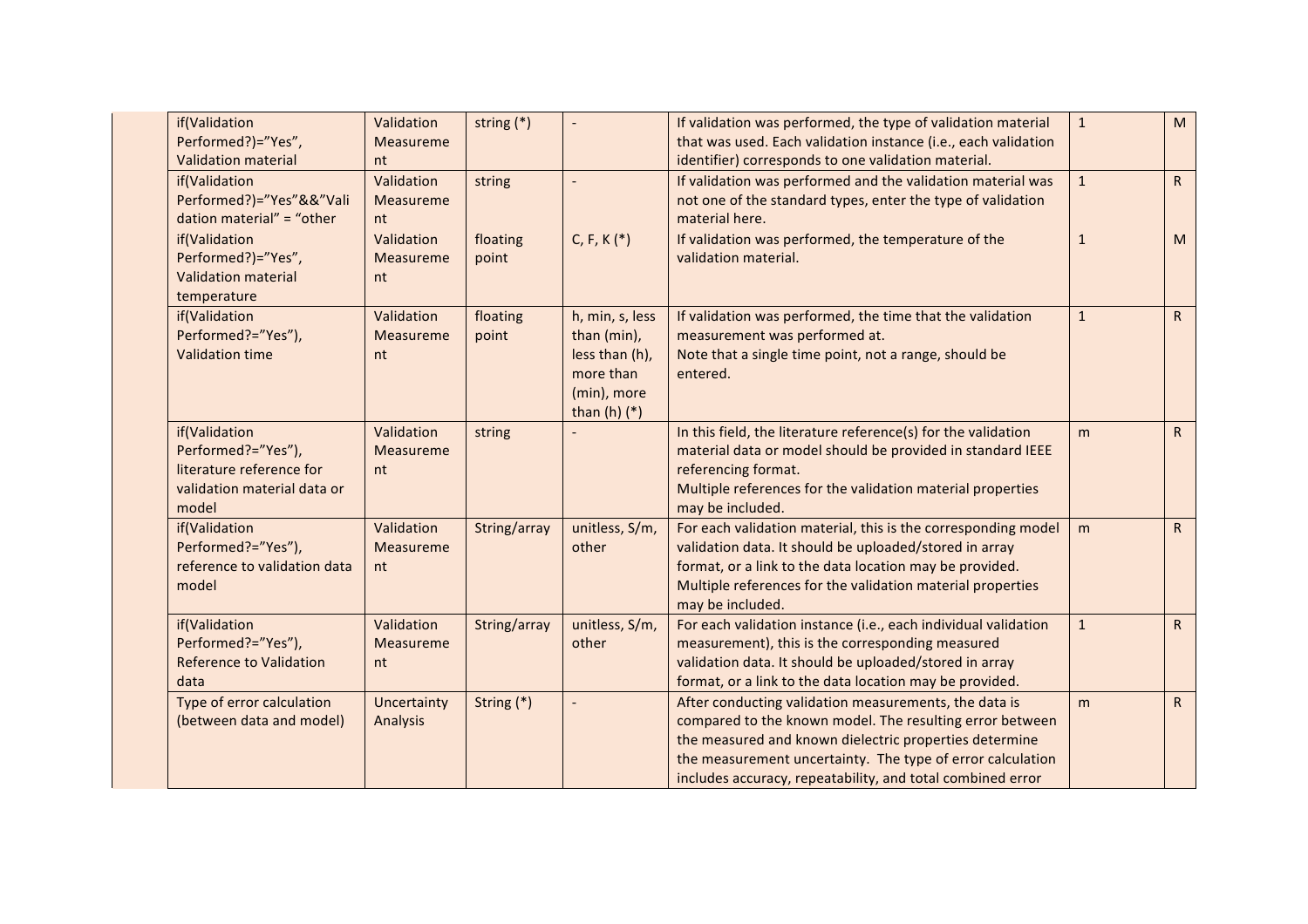| if(Validation<br>Performed?)="Yes",<br><b>Validation material</b>                                       | Validation<br>Measureme<br>nt | string $(*)$      |                                                                                                  | If validation was performed, the type of validation material<br>that was used. Each validation instance (i.e., each validation<br>identifier) corresponds to one validation material.                                                                                                                   | $\mathbf{1}$ | M            |
|---------------------------------------------------------------------------------------------------------|-------------------------------|-------------------|--------------------------------------------------------------------------------------------------|---------------------------------------------------------------------------------------------------------------------------------------------------------------------------------------------------------------------------------------------------------------------------------------------------------|--------------|--------------|
| if(Validation<br>Performed?)="Yes"&&"Vali<br>dation material" = "other                                  | Validation<br>Measureme<br>nt | string            | $\overline{a}$                                                                                   | If validation was performed and the validation material was<br>not one of the standard types, enter the type of validation<br>material here.                                                                                                                                                            | $\mathbf{1}$ | R            |
| if(Validation<br>Performed?)="Yes",<br><b>Validation material</b><br>temperature                        | Validation<br>Measureme<br>nt | floating<br>point | $C, F, K$ (*)                                                                                    | If validation was performed, the temperature of the<br>validation material.                                                                                                                                                                                                                             | $\mathbf{1}$ | M            |
| if(Validation<br>Performed?="Yes"),<br><b>Validation time</b>                                           | Validation<br>Measureme<br>nt | floating<br>point | h, min, s, less<br>than (min),<br>less than (h),<br>more than<br>(min), more<br>than $(h)$ $(*)$ | If validation was performed, the time that the validation<br>measurement was performed at.<br>Note that a single time point, not a range, should be<br>entered.                                                                                                                                         | $\mathbf{1}$ | R            |
| if(Validation<br>Performed?="Yes"),<br>literature reference for<br>validation material data or<br>model | Validation<br>Measureme<br>nt | string            |                                                                                                  | In this field, the literature reference(s) for the validation<br>material data or model should be provided in standard IEEE<br>referencing format.<br>Multiple references for the validation material properties<br>may be included.                                                                    | m            | R            |
| if(Validation<br>Performed?="Yes"),<br>reference to validation data<br>model                            | Validation<br>Measureme<br>nt | String/array      | unitless, S/m,<br>other                                                                          | For each validation material, this is the corresponding model<br>validation data. It should be uploaded/stored in array<br>format, or a link to the data location may be provided.<br>Multiple references for the validation material properties<br>may be included.                                    | m            | $\mathsf{R}$ |
| if(Validation<br>Performed?="Yes"),<br><b>Reference to Validation</b><br>data                           | Validation<br>Measureme<br>nt | String/array      | unitless, S/m,<br>other                                                                          | For each validation instance (i.e., each individual validation<br>measurement), this is the corresponding measured<br>validation data. It should be uploaded/stored in array<br>format, or a link to the data location may be provided.                                                                 | $\mathbf{1}$ | R            |
| Type of error calculation<br>(between data and model)                                                   | Uncertainty<br>Analysis       | String (*)        |                                                                                                  | After conducting validation measurements, the data is<br>compared to the known model. The resulting error between<br>the measured and known dielectric properties determine<br>the measurement uncertainty. The type of error calculation<br>includes accuracy, repeatability, and total combined error | m            | R            |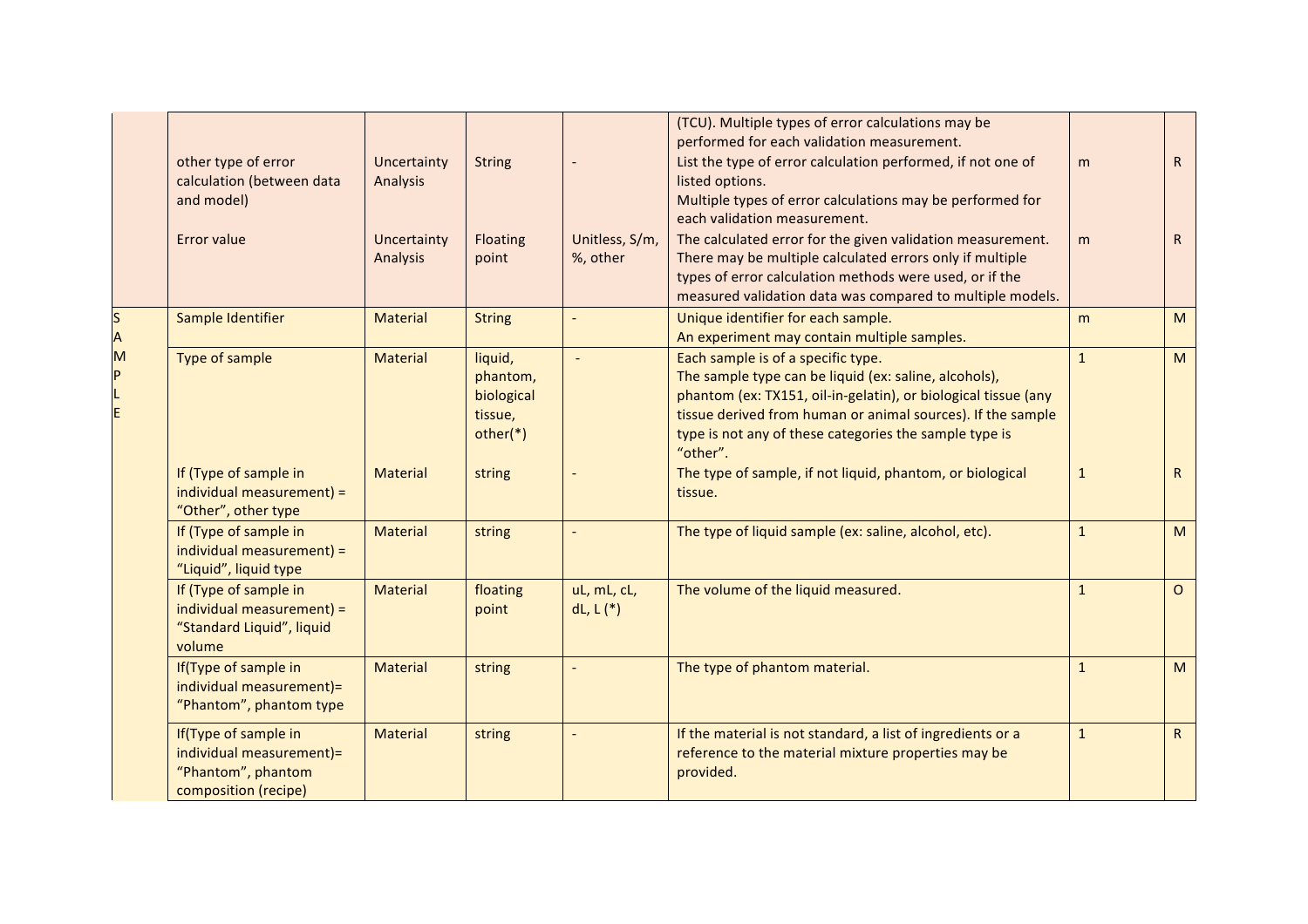|                        |                                                                                                |                                |                                                          |                              | (TCU). Multiple types of error calculations may be<br>performed for each validation measurement.                                                                                                                                                                                                   |              |                 |
|------------------------|------------------------------------------------------------------------------------------------|--------------------------------|----------------------------------------------------------|------------------------------|----------------------------------------------------------------------------------------------------------------------------------------------------------------------------------------------------------------------------------------------------------------------------------------------------|--------------|-----------------|
|                        | other type of error<br>calculation (between data<br>and model)                                 | Uncertainty<br><b>Analysis</b> | <b>String</b>                                            |                              | List the type of error calculation performed, if not one of<br>listed options.<br>Multiple types of error calculations may be performed for<br>each validation measurement.                                                                                                                        | m            | R               |
|                        | Error value                                                                                    | Uncertainty<br>Analysis        | Floating<br>point                                        | Unitless, S/m,<br>%, other   | The calculated error for the given validation measurement.<br>There may be multiple calculated errors only if multiple<br>types of error calculation methods were used, or if the<br>measured validation data was compared to multiple models.                                                     | m            | R               |
| $\mathsf{s}$<br>A<br>M | Sample Identifier                                                                              | <b>Material</b>                | <b>String</b>                                            |                              | Unique identifier for each sample.<br>An experiment may contain multiple samples.                                                                                                                                                                                                                  | m            | M               |
| P                      | Type of sample                                                                                 | <b>Material</b>                | liquid,<br>phantom,<br>biological<br>tissue,<br>other(*) | $\overline{\phantom{a}}$     | Each sample is of a specific type.<br>The sample type can be liquid (ex: saline, alcohols),<br>phantom (ex: TX151, oil-in-gelatin), or biological tissue (any<br>tissue derived from human or animal sources). If the sample<br>type is not any of these categories the sample type is<br>"other". | $\mathbf{1}$ | M               |
|                        | If (Type of sample in<br>individual measurement) =<br>"Other", other type                      | <b>Material</b>                | string                                                   |                              | The type of sample, if not liquid, phantom, or biological<br>tissue.                                                                                                                                                                                                                               | $\mathbf{1}$ | $R_{\parallel}$ |
|                        | If (Type of sample in<br>individual measurement) =<br>"Liquid", liquid type                    | <b>Material</b>                | string                                                   |                              | The type of liquid sample (ex: saline, alcohol, etc).                                                                                                                                                                                                                                              | $\mathbf{1}$ | M               |
|                        | If (Type of sample in<br>individual measurement) =<br>"Standard Liquid", liquid<br>volume      | <b>Material</b>                | floating<br>point                                        | uL, mL, cL,<br>$dL, L$ $(*)$ | The volume of the liquid measured.                                                                                                                                                                                                                                                                 | $\mathbf{1}$ | $\circ$         |
|                        | If(Type of sample in<br>individual measurement)=<br>"Phantom", phantom type                    | <b>Material</b>                | string                                                   |                              | The type of phantom material.                                                                                                                                                                                                                                                                      | $\mathbf{1}$ | M               |
|                        | If(Type of sample in<br>individual measurement)=<br>"Phantom", phantom<br>composition (recipe) | <b>Material</b>                | string                                                   |                              | If the material is not standard, a list of ingredients or a<br>reference to the material mixture properties may be<br>provided.                                                                                                                                                                    | $\mathbf{1}$ | $R_{\parallel}$ |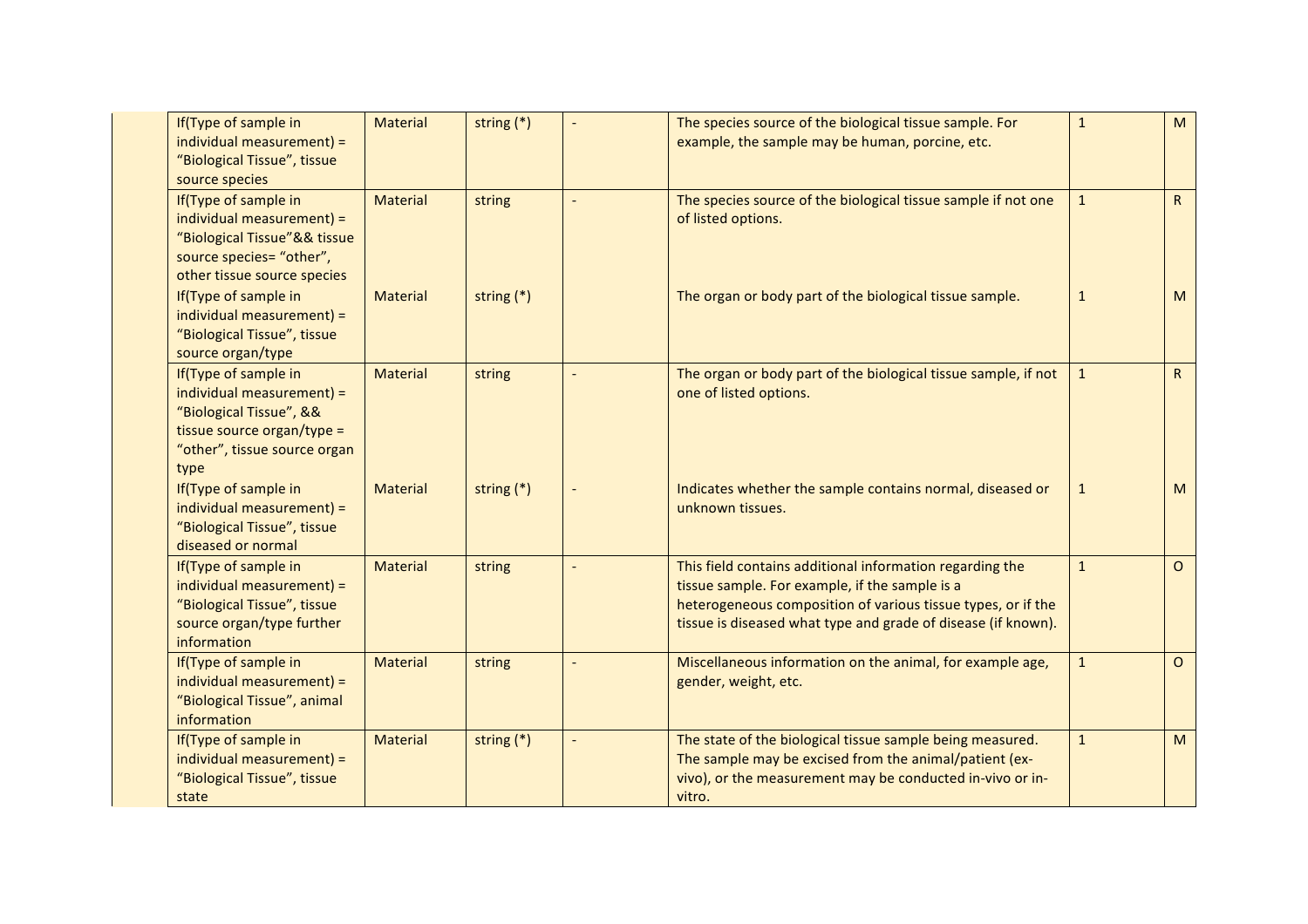| If(Type of sample in<br>individual measurement) =<br>"Biological Tissue", tissue<br>source species                                                 | <b>Material</b> | string $(*)$ | The species source of the biological tissue sample. For<br>example, the sample may be human, porcine, etc.                                                                                                                                  | $\mathbf{1}$ | M            |
|----------------------------------------------------------------------------------------------------------------------------------------------------|-----------------|--------------|---------------------------------------------------------------------------------------------------------------------------------------------------------------------------------------------------------------------------------------------|--------------|--------------|
| If(Type of sample in<br>individual measurement) =<br>"Biological Tissue"&& tissue<br>source species= "other",<br>other tissue source species       | <b>Material</b> | string       | The species source of the biological tissue sample if not one<br>of listed options.                                                                                                                                                         | $\mathbf{1}$ | $\mathsf{R}$ |
| If(Type of sample in<br>individual measurement) =<br>"Biological Tissue", tissue<br>source organ/type                                              | <b>Material</b> | string $(*)$ | The organ or body part of the biological tissue sample.                                                                                                                                                                                     | $\mathbf{1}$ | M            |
| If(Type of sample in<br>individual measurement) =<br>"Biological Tissue", &&<br>tissue source organ/type =<br>"other", tissue source organ<br>type | <b>Material</b> | string       | The organ or body part of the biological tissue sample, if not<br>one of listed options.                                                                                                                                                    | $\mathbf{1}$ | R            |
| If(Type of sample in<br>individual measurement) =<br>"Biological Tissue", tissue<br>diseased or normal                                             | <b>Material</b> | string $(*)$ | Indicates whether the sample contains normal, diseased or<br>unknown tissues.                                                                                                                                                               | $\mathbf{1}$ | M            |
| If(Type of sample in<br>individual measurement) =<br>"Biological Tissue", tissue<br>source organ/type further<br>information                       | <b>Material</b> | string       | This field contains additional information regarding the<br>tissue sample. For example, if the sample is a<br>heterogeneous composition of various tissue types, or if the<br>tissue is diseased what type and grade of disease (if known). | $\mathbf{1}$ | $\circ$      |
| If(Type of sample in<br>individual measurement) =<br>"Biological Tissue", animal<br>information                                                    | <b>Material</b> | string       | Miscellaneous information on the animal, for example age,<br>gender, weight, etc.                                                                                                                                                           | $\mathbf{1}$ | $\circ$      |
| If(Type of sample in<br>individual measurement) =<br>"Biological Tissue", tissue<br>state                                                          | <b>Material</b> | string $(*)$ | The state of the biological tissue sample being measured.<br>The sample may be excised from the animal/patient (ex-<br>vivo), or the measurement may be conducted in-vivo or in-<br>vitro.                                                  | $\mathbf{1}$ | M            |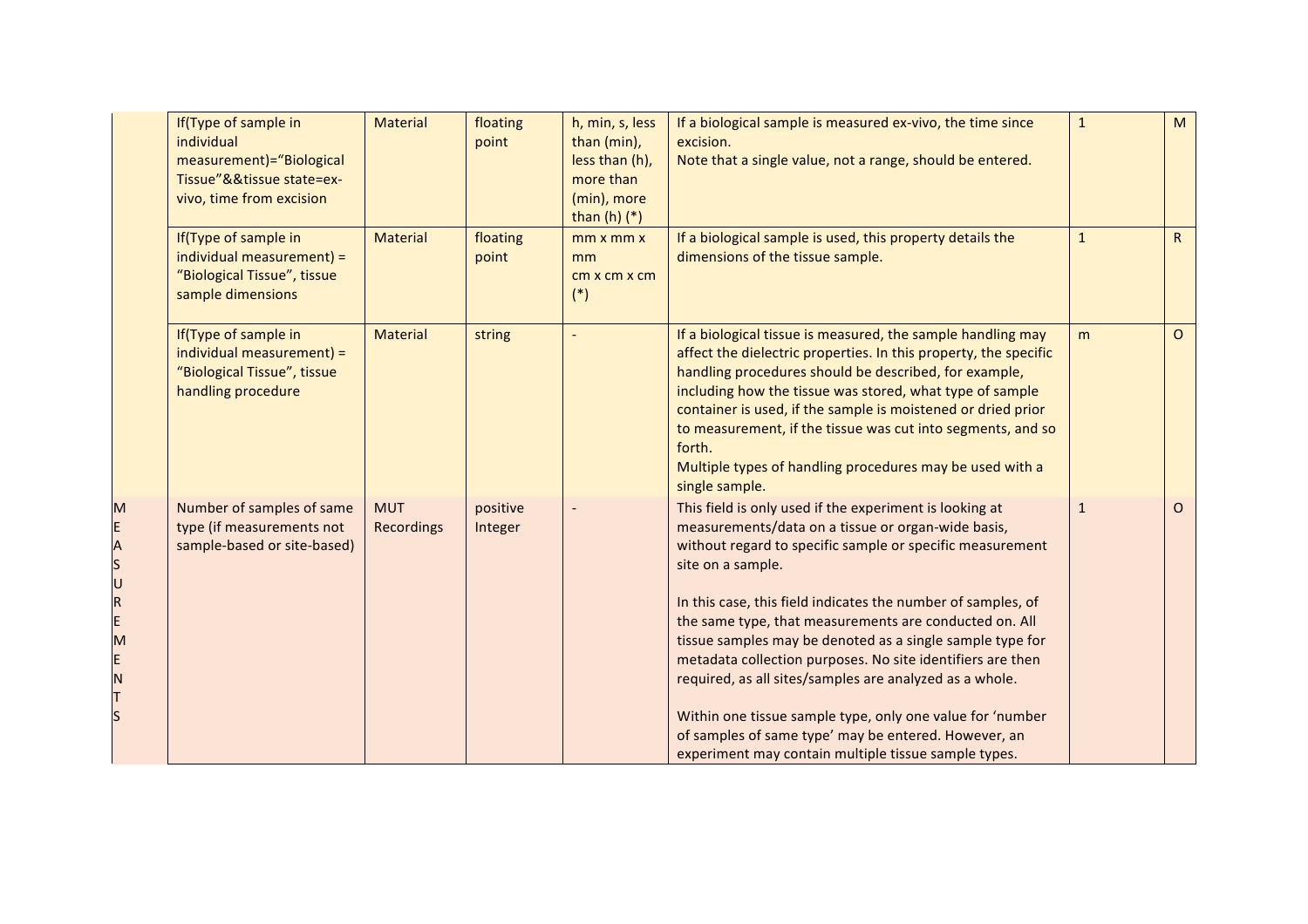|                                                                | If(Type of sample in<br>individual<br>measurement)="Biological<br>Tissue"&&tissue state=ex-<br>vivo, time from excision | <b>Material</b>          | floating<br>point   | h, min, s, less<br>than (min),<br>less than (h),<br>more than<br>(min), more<br>than $(h)$ $(*)$ | If a biological sample is measured ex-vivo, the time since<br>excision.<br>Note that a single value, not a range, should be entered.                                                                                                                                                                                                                                                                                                                                                                                                                                                                                                                                                         | $\mathbf{1}$ | M       |
|----------------------------------------------------------------|-------------------------------------------------------------------------------------------------------------------------|--------------------------|---------------------|--------------------------------------------------------------------------------------------------|----------------------------------------------------------------------------------------------------------------------------------------------------------------------------------------------------------------------------------------------------------------------------------------------------------------------------------------------------------------------------------------------------------------------------------------------------------------------------------------------------------------------------------------------------------------------------------------------------------------------------------------------------------------------------------------------|--------------|---------|
|                                                                | If(Type of sample in<br>individual measurement) =<br>"Biological Tissue", tissue<br>sample dimensions                   | <b>Material</b>          | floating<br>point   | mm x mm x<br>mm<br>cm x cm x cm<br>$(*)$                                                         | If a biological sample is used, this property details the<br>dimensions of the tissue sample.                                                                                                                                                                                                                                                                                                                                                                                                                                                                                                                                                                                                | $\mathbf{1}$ | R       |
|                                                                | If(Type of sample in<br>individual measurement) =<br>"Biological Tissue", tissue<br>handling procedure                  | <b>Material</b>          | string              |                                                                                                  | If a biological tissue is measured, the sample handling may<br>affect the dielectric properties. In this property, the specific<br>handling procedures should be described, for example,<br>including how the tissue was stored, what type of sample<br>container is used, if the sample is moistened or dried prior<br>to measurement, if the tissue was cut into segments, and so<br>forth.<br>Multiple types of handling procedures may be used with a<br>single sample.                                                                                                                                                                                                                  | m            | $\circ$ |
| M<br>E<br>ASURE<br>M<br>E<br>N<br>T<br>$\overline{\mathsf{s}}$ | Number of samples of same<br>type (if measurements not<br>sample-based or site-based)                                   | <b>MUT</b><br>Recordings | positive<br>Integer |                                                                                                  | This field is only used if the experiment is looking at<br>measurements/data on a tissue or organ-wide basis,<br>without regard to specific sample or specific measurement<br>site on a sample.<br>In this case, this field indicates the number of samples, of<br>the same type, that measurements are conducted on. All<br>tissue samples may be denoted as a single sample type for<br>metadata collection purposes. No site identifiers are then<br>required, as all sites/samples are analyzed as a whole.<br>Within one tissue sample type, only one value for 'number<br>of samples of same type' may be entered. However, an<br>experiment may contain multiple tissue sample types. | $\mathbf{1}$ | $\circ$ |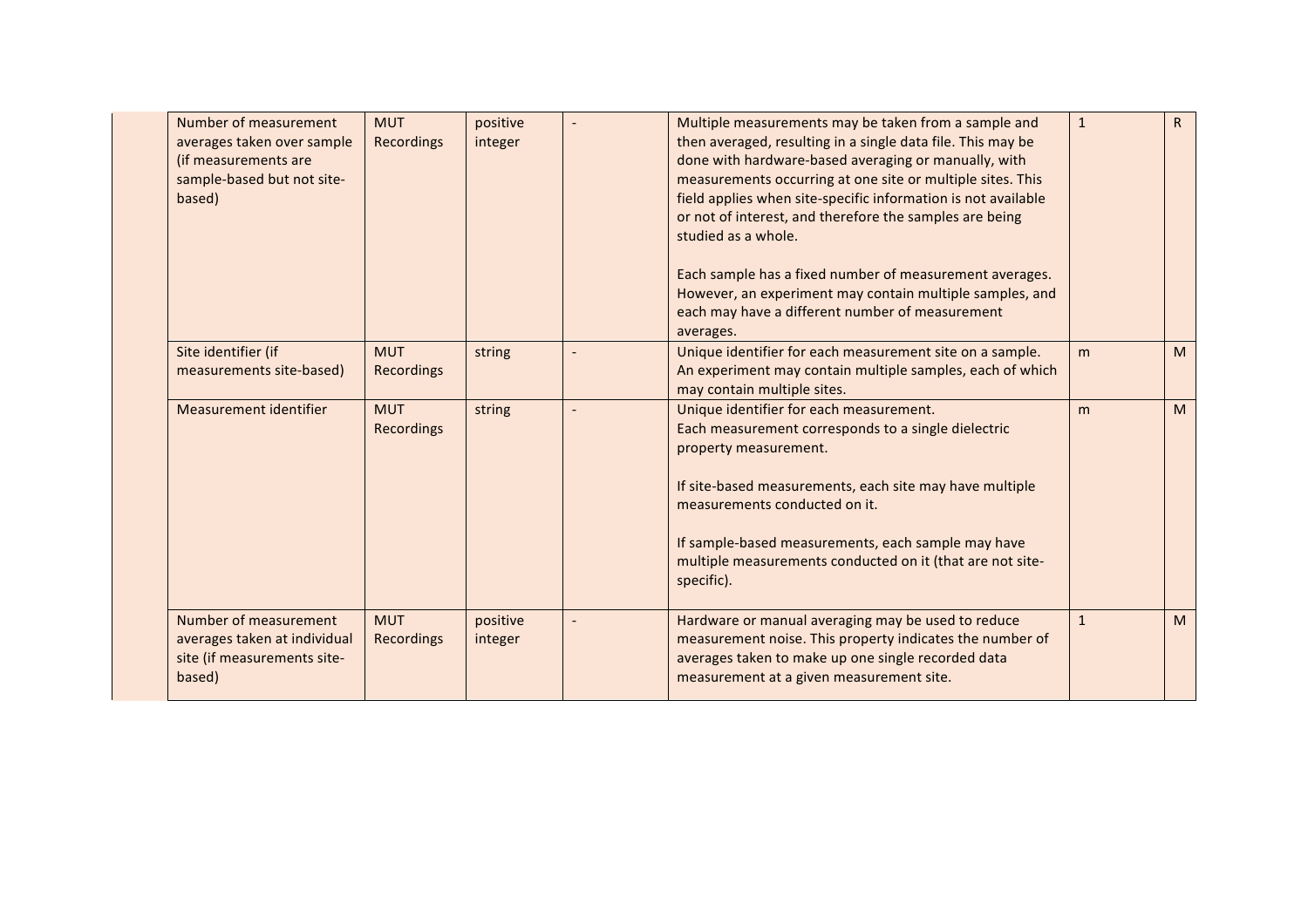| Number of measurement<br>averages taken over sample<br>(if measurements are<br>sample-based but not site-<br>based) | <b>MUT</b><br>Recordings        | positive<br>integer | Multiple measurements may be taken from a sample and<br>then averaged, resulting in a single data file. This may be<br>done with hardware-based averaging or manually, with<br>measurements occurring at one site or multiple sites. This<br>field applies when site-specific information is not available<br>or not of interest, and therefore the samples are being<br>studied as a whole.<br>Each sample has a fixed number of measurement averages.<br>However, an experiment may contain multiple samples, and<br>each may have a different number of measurement<br>averages. | $\mathbf{1}$ | R |
|---------------------------------------------------------------------------------------------------------------------|---------------------------------|---------------------|-------------------------------------------------------------------------------------------------------------------------------------------------------------------------------------------------------------------------------------------------------------------------------------------------------------------------------------------------------------------------------------------------------------------------------------------------------------------------------------------------------------------------------------------------------------------------------------|--------------|---|
| Site identifier (if<br>measurements site-based)                                                                     | <b>MUT</b><br><b>Recordings</b> | string              | Unique identifier for each measurement site on a sample.<br>An experiment may contain multiple samples, each of which<br>may contain multiple sites.                                                                                                                                                                                                                                                                                                                                                                                                                                | m            | M |
| Measurement identifier                                                                                              | <b>MUT</b><br><b>Recordings</b> | string              | Unique identifier for each measurement.<br>Each measurement corresponds to a single dielectric<br>property measurement.<br>If site-based measurements, each site may have multiple<br>measurements conducted on it.<br>If sample-based measurements, each sample may have<br>multiple measurements conducted on it (that are not site-<br>specific).                                                                                                                                                                                                                                | m            | M |
| Number of measurement<br>averages taken at individual<br>site (if measurements site-<br>based)                      | <b>MUT</b><br>Recordings        | positive<br>integer | Hardware or manual averaging may be used to reduce<br>measurement noise. This property indicates the number of<br>averages taken to make up one single recorded data<br>measurement at a given measurement site.                                                                                                                                                                                                                                                                                                                                                                    | $\mathbf{1}$ | M |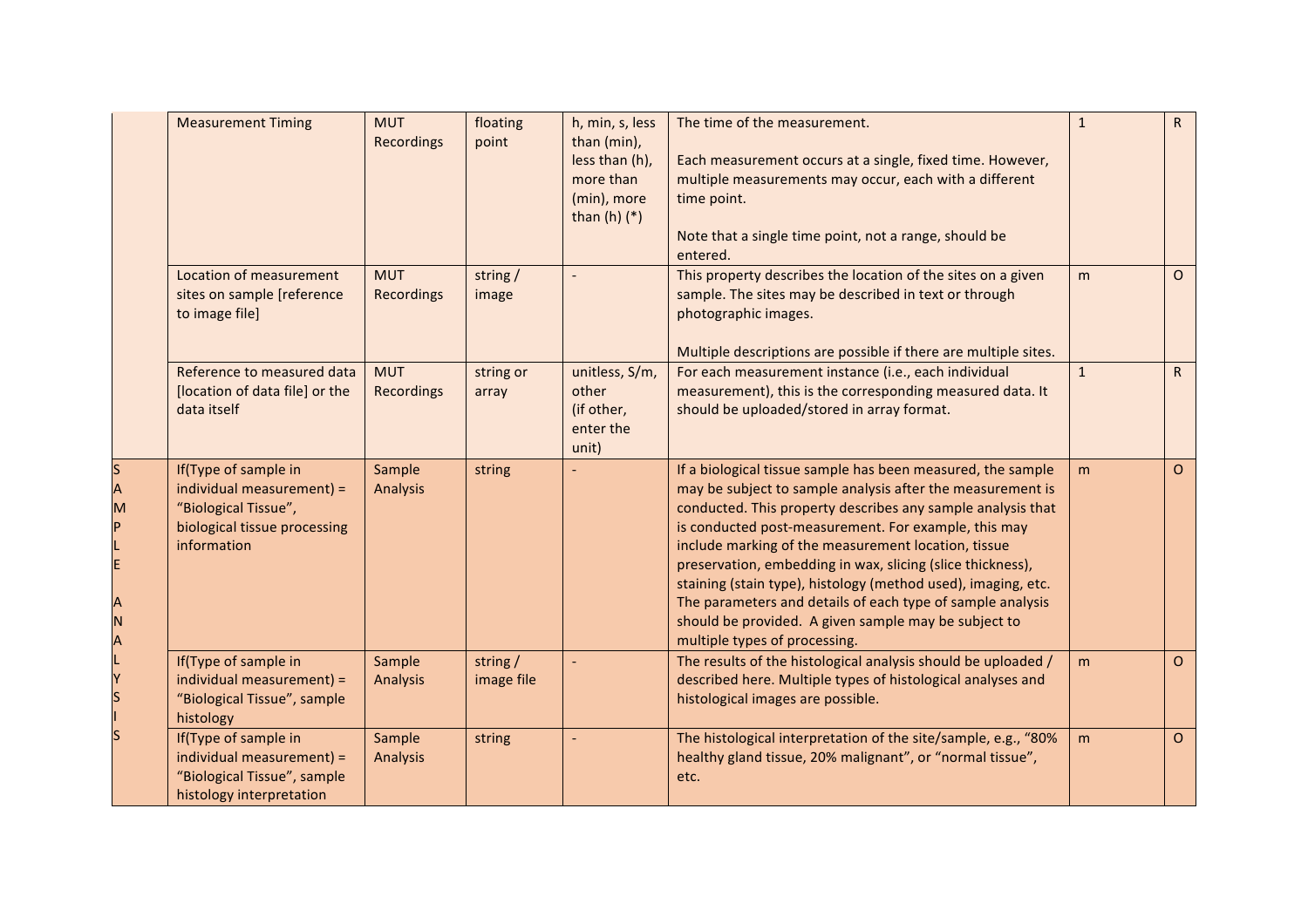|                  | <b>Measurement Timing</b>                                                                                                | <b>MUT</b><br>Recordings | floating<br>point     | h, min, s, less<br>than (min),<br>less than (h),<br>more than<br>(min), more<br>than $(h)$ $(*)$ | The time of the measurement.<br>Each measurement occurs at a single, fixed time. However,<br>multiple measurements may occur, each with a different<br>time point.<br>Note that a single time point, not a range, should be<br>entered.                                                                                                                                                                                                                                                                                                                                                       | $\mathbf{1}$ | $\mathsf{R}$ |
|------------------|--------------------------------------------------------------------------------------------------------------------------|--------------------------|-----------------------|--------------------------------------------------------------------------------------------------|-----------------------------------------------------------------------------------------------------------------------------------------------------------------------------------------------------------------------------------------------------------------------------------------------------------------------------------------------------------------------------------------------------------------------------------------------------------------------------------------------------------------------------------------------------------------------------------------------|--------------|--------------|
|                  | Location of measurement<br>sites on sample [reference<br>to image file]                                                  | <b>MUT</b><br>Recordings | string/<br>image      |                                                                                                  | This property describes the location of the sites on a given<br>sample. The sites may be described in text or through<br>photographic images.<br>Multiple descriptions are possible if there are multiple sites.                                                                                                                                                                                                                                                                                                                                                                              | m            | $\circ$      |
|                  | Reference to measured data<br>[location of data file] or the<br>data itself                                              | <b>MUT</b><br>Recordings | string or<br>array    | unitless, S/m,<br>other<br>(if other,<br>enter the<br>unit)                                      | For each measurement instance (i.e., each individual<br>measurement), this is the corresponding measured data. It<br>should be uploaded/stored in array format.                                                                                                                                                                                                                                                                                                                                                                                                                               | $\mathbf{1}$ | R            |
| S<br>М<br>Ν<br>A | If(Type of sample in<br>individual measurement) =<br>"Biological Tissue",<br>biological tissue processing<br>information | Sample<br>Analysis       | string                |                                                                                                  | If a biological tissue sample has been measured, the sample<br>may be subject to sample analysis after the measurement is<br>conducted. This property describes any sample analysis that<br>is conducted post-measurement. For example, this may<br>include marking of the measurement location, tissue<br>preservation, embedding in wax, slicing (slice thickness),<br>staining (stain type), histology (method used), imaging, etc.<br>The parameters and details of each type of sample analysis<br>should be provided. A given sample may be subject to<br>multiple types of processing. | m            | $\circ$      |
|                  | If(Type of sample in<br>individual measurement) =<br>"Biological Tissue", sample<br>histology                            | Sample<br>Analysis       | string/<br>image file |                                                                                                  | The results of the histological analysis should be uploaded /<br>described here. Multiple types of histological analyses and<br>histological images are possible.                                                                                                                                                                                                                                                                                                                                                                                                                             | m            | $\circ$      |
|                  | If(Type of sample in<br>individual measurement) =<br>"Biological Tissue", sample<br>histology interpretation             | Sample<br>Analysis       | string                |                                                                                                  | The histological interpretation of the site/sample, e.g., "80%<br>healthy gland tissue, 20% malignant", or "normal tissue",<br>etc.                                                                                                                                                                                                                                                                                                                                                                                                                                                           | m            | $\circ$      |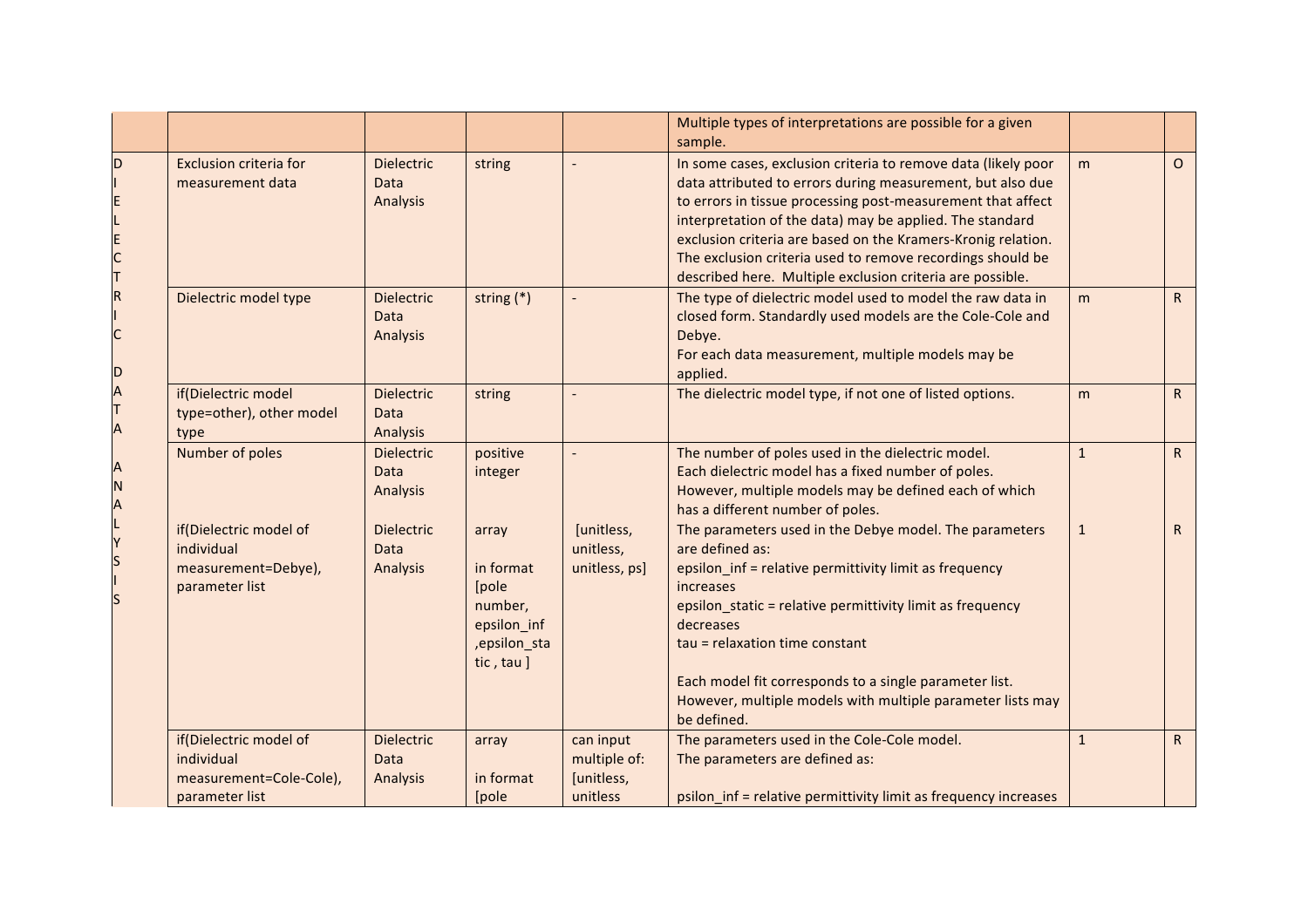|                                       |                                                                                   |                                              |                                                                                       |                                                     | Multiple types of interpretations are possible for a given<br>sample.                                                                                                                                                                                                                                                                                                                                                                             |              |              |
|---------------------------------------|-----------------------------------------------------------------------------------|----------------------------------------------|---------------------------------------------------------------------------------------|-----------------------------------------------------|---------------------------------------------------------------------------------------------------------------------------------------------------------------------------------------------------------------------------------------------------------------------------------------------------------------------------------------------------------------------------------------------------------------------------------------------------|--------------|--------------|
| D<br>$\mathsf{C}$<br>D<br>Α<br>N<br>A | <b>Exclusion criteria for</b><br>measurement data                                 | <b>Dielectric</b><br>Data<br>Analysis        | string                                                                                |                                                     | In some cases, exclusion criteria to remove data (likely poor<br>data attributed to errors during measurement, but also due<br>to errors in tissue processing post-measurement that affect<br>interpretation of the data) may be applied. The standard<br>exclusion criteria are based on the Kramers-Kronig relation.<br>The exclusion criteria used to remove recordings should be<br>described here. Multiple exclusion criteria are possible. | m            | $\Omega$     |
|                                       | Dielectric model type                                                             | <b>Dielectric</b><br><b>Data</b><br>Analysis | string (*)                                                                            |                                                     | The type of dielectric model used to model the raw data in<br>closed form. Standardly used models are the Cole-Cole and<br>Debye.<br>For each data measurement, multiple models may be<br>applied.                                                                                                                                                                                                                                                | m            | $\mathsf{R}$ |
|                                       | if(Dielectric model<br>type=other), other model<br>type                           | <b>Dielectric</b><br>Data<br>Analysis        | string                                                                                |                                                     | The dielectric model type, if not one of listed options.                                                                                                                                                                                                                                                                                                                                                                                          | m            | $\mathsf{R}$ |
|                                       | Number of poles                                                                   | <b>Dielectric</b><br>Data<br>Analysis        | positive<br>integer                                                                   |                                                     | The number of poles used in the dielectric model.<br>Each dielectric model has a fixed number of poles.<br>However, multiple models may be defined each of which<br>has a different number of poles.                                                                                                                                                                                                                                              | $\mathbf{1}$ | $\mathsf{R}$ |
|                                       | if(Dielectric model of<br>individual<br>measurement=Debye),<br>parameter list     | <b>Dielectric</b><br>Data<br>Analysis        | array<br>in format<br>[pole]<br>number,<br>epsilon_inf<br>, epsilon_sta<br>tic, tau ] | [unitless,<br>unitless,<br>unitless, ps]            | The parameters used in the Debye model. The parameters<br>are defined as:<br>epsilon_inf = relative permittivity limit as frequency<br>increases<br>epsilon_static = relative permittivity limit as frequency<br>decreases<br>tau = relaxation time constant<br>Each model fit corresponds to a single parameter list.<br>However, multiple models with multiple parameter lists may<br>be defined.                                               | $\mathbf{1}$ | $\mathsf{R}$ |
|                                       | if(Dielectric model of<br>individual<br>measurement=Cole-Cole),<br>parameter list | <b>Dielectric</b><br><b>Data</b><br>Analysis | array<br>in format<br>[pole]                                                          | can input<br>multiple of:<br>[unitless,<br>unitless | The parameters used in the Cole-Cole model.<br>The parameters are defined as:<br>psilon_inf = relative permittivity limit as frequency increases                                                                                                                                                                                                                                                                                                  | $\mathbf{1}$ | R            |